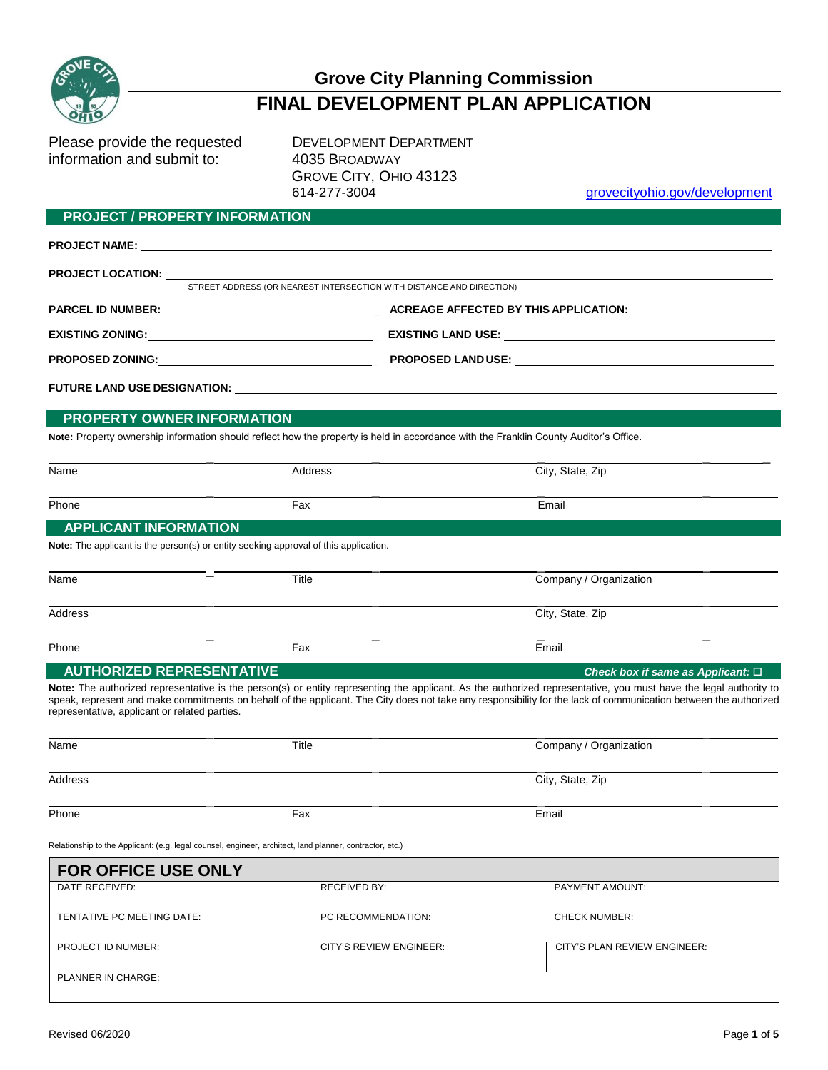

# **Grove City Planning Commission FINAL DEVELOPMENT PLAN APPLICATION**

Please provide the requested DEVELOPMENT DEPARTMENT information and submit to: 4035 BROADWAY

GROVE CITY, OHIO 43123 614-277-3004 grovecityohio.gov/development

## **PROJECT / PROPERTY INFORMATION**

|                                  | <b>PROJECT NAME:</b> The contract of the contract of the contract of the contract of the contract of the contract of the contract of the contract of the contract of the contract of the contract of the contract of the contract o |                                                                                                                                       |  |
|----------------------------------|-------------------------------------------------------------------------------------------------------------------------------------------------------------------------------------------------------------------------------------|---------------------------------------------------------------------------------------------------------------------------------------|--|
|                                  | STREET ADDRESS (OR NEAREST INTERSECTION WITH DISTANCE AND DIRECTION)                                                                                                                                                                |                                                                                                                                       |  |
|                                  |                                                                                                                                                                                                                                     |                                                                                                                                       |  |
|                                  |                                                                                                                                                                                                                                     |                                                                                                                                       |  |
|                                  |                                                                                                                                                                                                                                     |                                                                                                                                       |  |
|                                  |                                                                                                                                                                                                                                     |                                                                                                                                       |  |
| PROPERTY OWNER INFORMATION       |                                                                                                                                                                                                                                     |                                                                                                                                       |  |
|                                  |                                                                                                                                                                                                                                     | Note: Property ownership information should reflect how the property is held in accordance with the Franklin County Auditor's Office. |  |
| Name                             | Address                                                                                                                                                                                                                             | City, State, Zip                                                                                                                      |  |
| Phone                            | Fax                                                                                                                                                                                                                                 | Email                                                                                                                                 |  |
| <b>APPLICANT INFORMATION</b>     |                                                                                                                                                                                                                                     |                                                                                                                                       |  |
|                                  | <b>Note:</b> The applicant is the person(s) or entity seeking approval of this application.                                                                                                                                         |                                                                                                                                       |  |
| Name                             | Title                                                                                                                                                                                                                               | Company / Organization                                                                                                                |  |
| Address                          |                                                                                                                                                                                                                                     | City, State, Zip                                                                                                                      |  |
| Phone                            | Fax                                                                                                                                                                                                                                 | Email                                                                                                                                 |  |
| <b>AUTHORIZED REPRESENTATIVE</b> |                                                                                                                                                                                                                                     | Check box if same as Applicant: $\Box$                                                                                                |  |

**Note:** The authorized representative is the person(s) or entity representing the applicant. As the authorized representative, you must have the legal authority to speak, represent and make commitments on behalf of the applicant. The City does not take any responsibility for the lack of communication between the authorized representative, applicant or related parties.

| Name    | Title | Company / Organization |
|---------|-------|------------------------|
| Address |       | City, State, Zip       |
| Phone   | Fax   | Email                  |

Relationship to the Applicant: (e.g. legal counsel, engineer, architect, land planner, contractor, etc.)

| <b>FOR OFFICE USE ONLY</b> |                         |                              |
|----------------------------|-------------------------|------------------------------|
| DATE RECEIVED:             | <b>RECEIVED BY:</b>     | <b>PAYMENT AMOUNT:</b>       |
| TENTATIVE PC MEETING DATE: | PC RECOMMENDATION:      | <b>CHECK NUMBER:</b>         |
| <b>PROJECT ID NUMBER:</b>  | CITY'S REVIEW ENGINEER: | CITY'S PLAN REVIEW ENGINEER: |
| PLANNER IN CHARGE:         |                         |                              |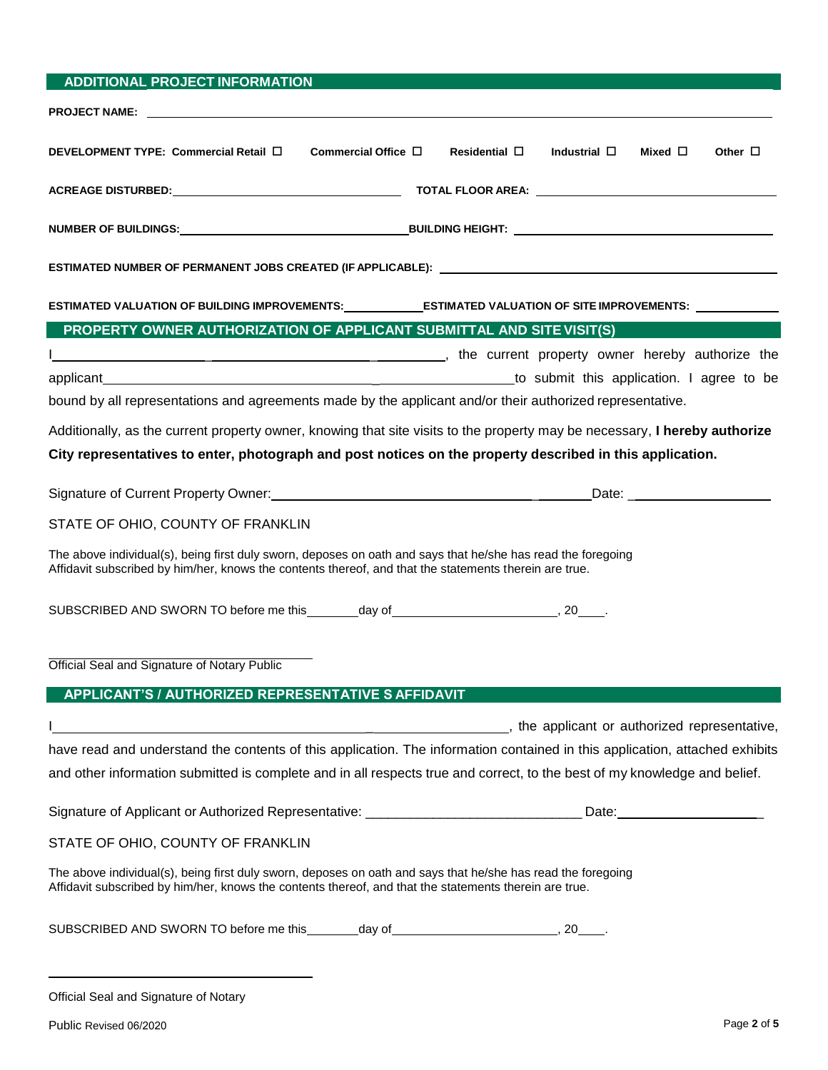| <b>ADDITIONAL PROJECT INFORMATION</b>                                                                                                                                                                                               |
|-------------------------------------------------------------------------------------------------------------------------------------------------------------------------------------------------------------------------------------|
| <b>PROJECT NAME:</b> the contract of the contract of the contract of the contract of the contract of the contract of the contract of the contract of the contract of the contract of the contract of the contract of the contract o |
|                                                                                                                                                                                                                                     |
| Commercial Office $\Box$<br>Residential $\square$<br>Industrial $\square$<br>Mixed $\square$<br>DEVELOPMENT TYPE: Commercial Retail □<br>Other $\Box$                                                                               |
|                                                                                                                                                                                                                                     |
|                                                                                                                                                                                                                                     |
|                                                                                                                                                                                                                                     |
| ESTIMATED NUMBER OF PERMANENT JOBS CREATED (IF APPLICABLE): Network and the control of the control of the control of the control of the control of the control of the control of the control of the control of the control of       |
| ESTIMATED VALUATION OF BUILDING IMPROVEMENTS:_____________ESTIMATED VALUATION OF SITE IMPROVEMENTS: _________                                                                                                                       |
| PROPERTY OWNER AUTHORIZATION OF APPLICANT SUBMITTAL AND SITE VISIT(S)                                                                                                                                                               |
| the current property owner hereby authorize the contract the contract of the current property owner hereby authorize the                                                                                                            |
| to submit this application. I agree to be                                                                                                                                                                                           |
| bound by all representations and agreements made by the applicant and/or their authorized representative.                                                                                                                           |
| Additionally, as the current property owner, knowing that site visits to the property may be necessary, I hereby authorize                                                                                                          |
| City representatives to enter, photograph and post notices on the property described in this application.                                                                                                                           |
|                                                                                                                                                                                                                                     |
| Signature of Current Property Owner: Manual Communication Control Communication Communication Current Property                                                                                                                      |
| STATE OF OHIO, COUNTY OF FRANKLIN                                                                                                                                                                                                   |
| The above individual(s), being first duly sworn, deposes on oath and says that he/she has read the foregoing                                                                                                                        |
| Affidavit subscribed by him/her, knows the contents thereof, and that the statements therein are true.                                                                                                                              |
| SUBSCRIBED AND SWORN TO before me this ________day of ___________________________, 20_____.                                                                                                                                         |
|                                                                                                                                                                                                                                     |
| Official Seal and Signature of Notary Public                                                                                                                                                                                        |
|                                                                                                                                                                                                                                     |
| APPLICANT'S / AUTHORIZED REPRESENTATIVE S AFFIDAVIT                                                                                                                                                                                 |
| the applicant or authorized representative, the specific state of the state of the state of the state of the state of the state of the state of the state of the state of the state of the state of the state of the state of       |
| have read and understand the contents of this application. The information contained in this application, attached exhibits                                                                                                         |
| and other information submitted is complete and in all respects true and correct, to the best of my knowledge and belief.                                                                                                           |
| Signature of Applicant or Authorized Representative: ________________________________Date: ___________________                                                                                                                      |
| STATE OF OHIO, COUNTY OF FRANKLIN                                                                                                                                                                                                   |
| The above individual(s), being first duly sworn, deposes on oath and says that he/she has read the foregoing<br>Affidavit subscribed by him/her, knows the contents thereof, and that the statements therein are true.              |
| SUBSCRIBED AND SWORN TO before me this ________day of __________________________, 20_____.                                                                                                                                          |
|                                                                                                                                                                                                                                     |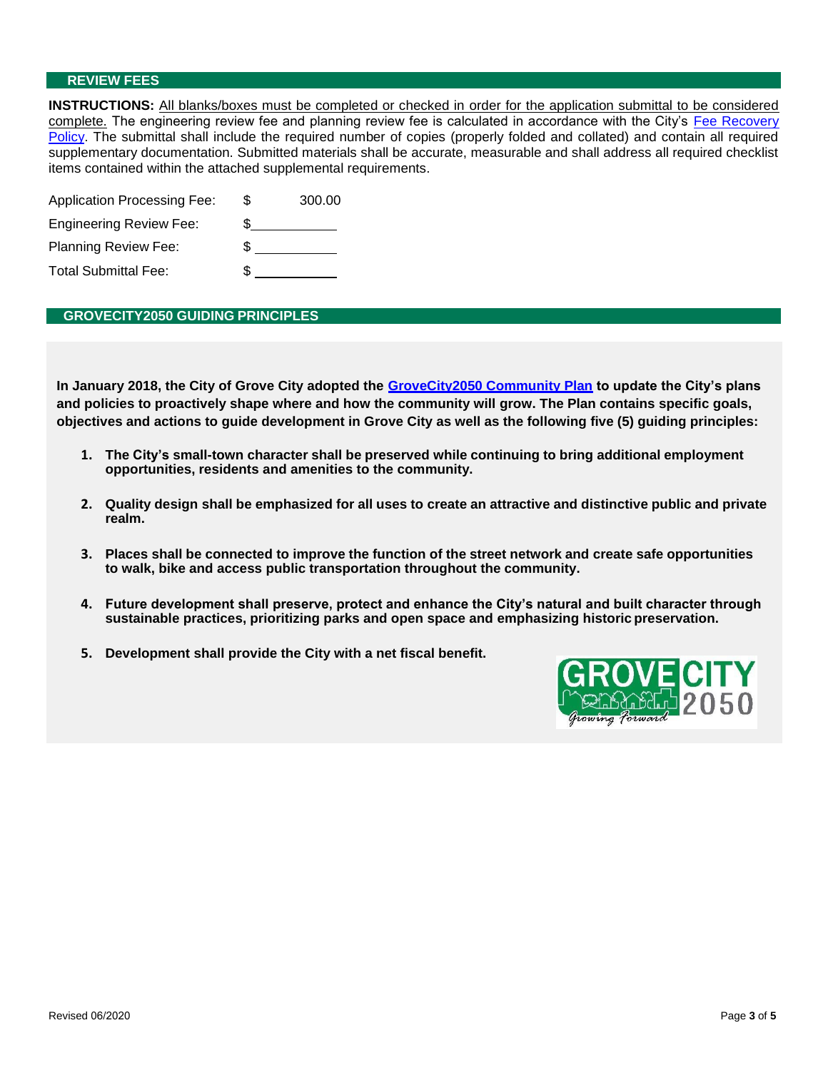#### **REVIEW FEES**

**INSTRUCTIONS:** All blanks/boxes must be completed or checked in order for the application submittal to be considered complete. The engineering review fee and planning review fee is calculated in accordance with the City's Fee Recovery Policy. The submittal shall include the required number of copies (properly folded and collated) and contain all required supplementary documentation. Submitted materials shall be accurate, measurable and shall address all required checklist items contained within the attached supplemental requirements.

| <b>Application Processing Fee:</b> | S | 300.00 |
|------------------------------------|---|--------|
| <b>Engineering Review Fee:</b>     |   |        |
| <b>Planning Review Fee:</b>        | S |        |
| <b>Total Submittal Fee:</b>        |   |        |

#### **GROVECITY2050 GUIDING PRINCIPLES**

**In January 2018, the City of Grove City adopted the GroveCity2050 Community Plan to update the City's plans and policies to proactively shape where and how the community will grow. The Plan contains specific goals, objectives and actions to guide development in Grove City as well as the following five (5) guiding principles:**

- **1. The City's small-town character shall be preserved while continuing to bring additional employment opportunities, residents and amenities to the community.**
- 2. Quality design shall be emphasized for all uses to create an attractive and distinctive public and private **realm.**
- **3. Places shall be connected to improve the function of the street network and create safe opportunities to walk, bike and access public transportation throughout the community.**
- **4. Future development shall preserve, protect and enhance the City's natural and built character through sustainable practices, prioritizing parks and open space and emphasizing historic preservation.**
- **5. Development shall provide the City with a net fiscal benefit.**

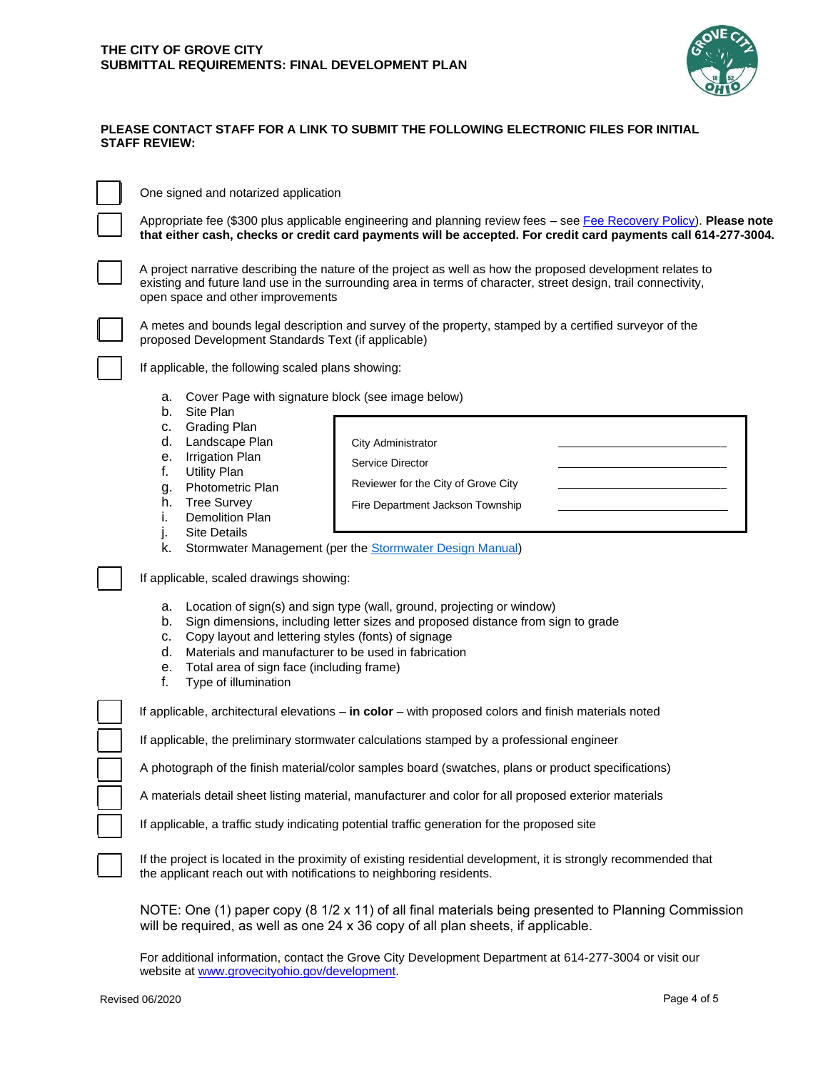

\_ \_ \_

### **PLEASE CONTACT STAFF FOR A LINK TO SUBMIT THE FOLLOWING ELECTRONIC FILES FOR INITIAL STAFF REVIEW:**

One signed and notarized application

Appropriate fee (\$300 plus applicable engineering and planning review fees – see Fee Recovery Policy). **Please note that either cash, checks or credit card payments will be accepted. For credit card payments call 614-277-3004.**

A project narrative describing the nature of the project as well as how the proposed development relates to existing and future land use in the surrounding area in terms of character, street design, trail connectivity, open space and other improvements



A metes and bounds legal description and survey of the property, stamped by a certified surveyor of the proposed Development Standards Text (if applicable)

> Reviewer for the City of Grove City Fire Department Jackson Township

If applicable, the following scaled plans showing:

- a. Cover Page with signature block (see image below)
- b. Site Plan
- c. Grading Plan
- d. Landscape Plan
- e. Irrigation Plan
- f. Utility Plan
- g. Photometric Plan
- h. Tree Survey
- i. Demolition Plan
- j. Site Details
- k. Stormwater Management (per the **Stormwater Design Manual)**

If applicable, scaled drawings showing:

- a. Location of sign(s) and sign type (wall, ground, projecting or window)
- b. Sign dimensions, including letter sizes and proposed distance from sign to grade

City Administrator Service Director

- c. Copy layout and lettering styles (fonts) of signage
- d. Materials and manufacturer to be used in fabrication
- e. Total area of sign face (including frame)
- f. Type of illumination

If applicable, architectural elevations – **in color** – with proposed colors and finish materials noted

If applicable, the preliminary stormwater calculations stamped by a professional engineer

A photograph of the finish material/color samples board (swatches, plans or product specifications)

A materials detail sheet listing material, manufacturer and color for all proposed exterior materials

If applicable, a traffic study indicating potential traffic generation for the proposed site

If the project is located in the proximity of existing residential development, it is strongly recommended that the applicant reach out with notifications to neighboring residents.

NOTE: One (1) paper copy (8 1/2 x 11) of all final materials being presented to Planning Commission will be required, as well as one 24 x 36 copy of all plan sheets, if applicable.

For additional information, contact the Grove City Development Department at 614-277-3004 or visit our website at [www.grovecityohio.gov/development.](http://www.grovecityohio.gov/development)